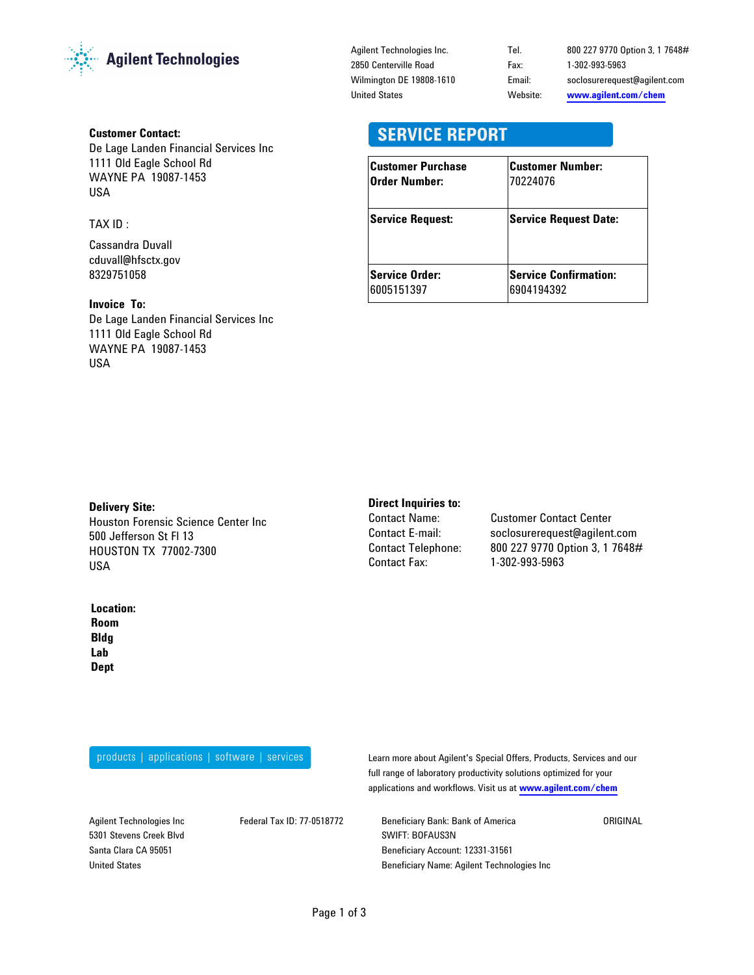

#### Customer Contact:

De Lage Landen Financial Services Inc 1111 Old Eagle School Rd WAYNE PA 19087-1453 USA

TAX ID :

Cassandra Duvall cduvall@hfsctx.gov 8329751058

# Invoice To:

De Lage Landen Financial Services Inc 1111 Old Eagle School Rd WAYNE PA 19087-1453 USA

Agilent Technologies Inc. 2850 Centerville Road Wilmington DE 19808-1610 United States

Email: soclosurerequest@agilent.com www.agilent.com/chem Tel. 800 227 9770 Option 3, 1 7648# Website: Fax: 1-302-993-5963

# **SERVICE REPORT**

| <b>Customer Purchase</b> | <b>Customer Number:</b>      |
|--------------------------|------------------------------|
| Order Number:            | 70224076                     |
| <b>Service Request:</b>  | <b>Service Request Date:</b> |
| <b>Service Order:</b>    | <b>Service Confirmation:</b> |
| 6005151397               | 6904194392                   |

#### Delivery Site:

Houston Forensic Science Center Inc 500 Jefferson St Fl 13 HOUSTON TX 77002-7300 USA

#### Location:

Lab Dept Room Bldg

# Direct Inquiries to:

Contact Telephone: Contact Fax:

Contact Name: Customer Contact Center 800 227 9770 Option 3, 1 7648# 1-302-993-5963 Contact E-mail: soclosurerequest@agilent.com

products | applications | software | services

Learn more about Agilent's Special Offers, Products, Services and our full range of laboratory productivity solutions optimized for your applications and workflows. Visit us at www.agilent.com/chem

Agilent Technologies Inc 5301 Stevens Creek Blvd Santa Clara CA 95051 United States

Federal Tax ID: 77-0518772 Beneficiary Bank: Bank of America SWIFT: BOFAUS3N Beneficiary Account: 12331-31561 Beneficiary Name: Agilent Technologies Inc ORIGINAL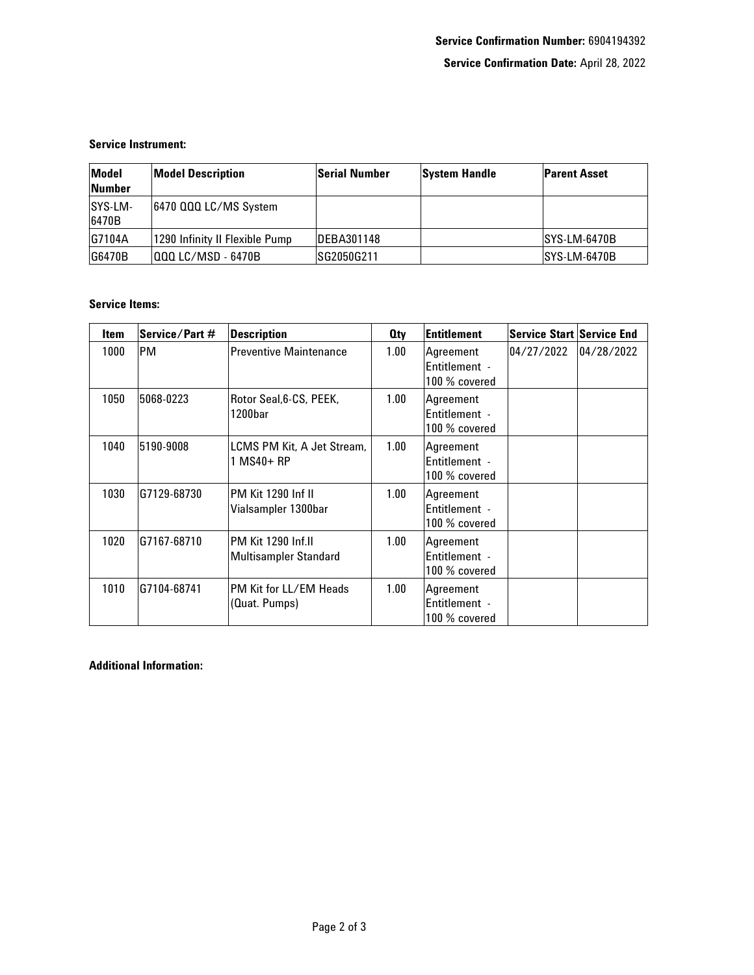## Service Instrument:

| Model<br><b>Number</b> | <b>Model Description</b>       | <b>Serial Number</b> | <b>System Handle</b> | <b>Parent Asset</b> |
|------------------------|--------------------------------|----------------------|----------------------|---------------------|
| SYS-LM-<br>6470B       | 6470 000 LC/MS System          |                      |                      |                     |
| G7104A                 | 1290 Infinity II Flexible Pump | IDEBA301148          |                      | ISYS-LM-6470B       |
| G6470B                 | 000 LC/MSD - 6470B             | ISG2050G211          |                      | ISYS-LM-6470B       |

## Service Items:

| <b>Item</b> | Service/Part # | <b>Description</b>                          | 0ty  | Entitlement                                 | <b>Service Start Service End</b> |            |
|-------------|----------------|---------------------------------------------|------|---------------------------------------------|----------------------------------|------------|
| 1000        | PM             | <b>Preventive Maintenance</b>               | 1.00 | Agreement<br>Entitlement -<br>100 % covered | 04/27/2022                       | 04/28/2022 |
| 1050        | 5068-0223      | Rotor Seal, 6-CS, PEEK,<br>1200bar          | 1.00 | Agreement<br>Entitlement -<br>100 % covered |                                  |            |
| 1040        | 5190-9008      | LCMS PM Kit, A Jet Stream,<br>1 MS40+ RP    | 1.00 | Agreement<br>Entitlement -<br>100 % covered |                                  |            |
| 1030        | G7129-68730    | PM Kit 1290 Inf II<br>Vialsampler 1300bar   | 1.00 | Agreement<br>Entitlement -<br>100 % covered |                                  |            |
| 1020        | G7167-68710    | PM Kit 1290 Inf.II<br>Multisampler Standard | 1.00 | Agreement<br>Entitlement -<br>100 % covered |                                  |            |
| 1010        | G7104-68741    | PM Kit for LL/EM Heads<br>(Quat. Pumps)     | 1.00 | Agreement<br>Entitlement -<br>100 % covered |                                  |            |

Additional Information: